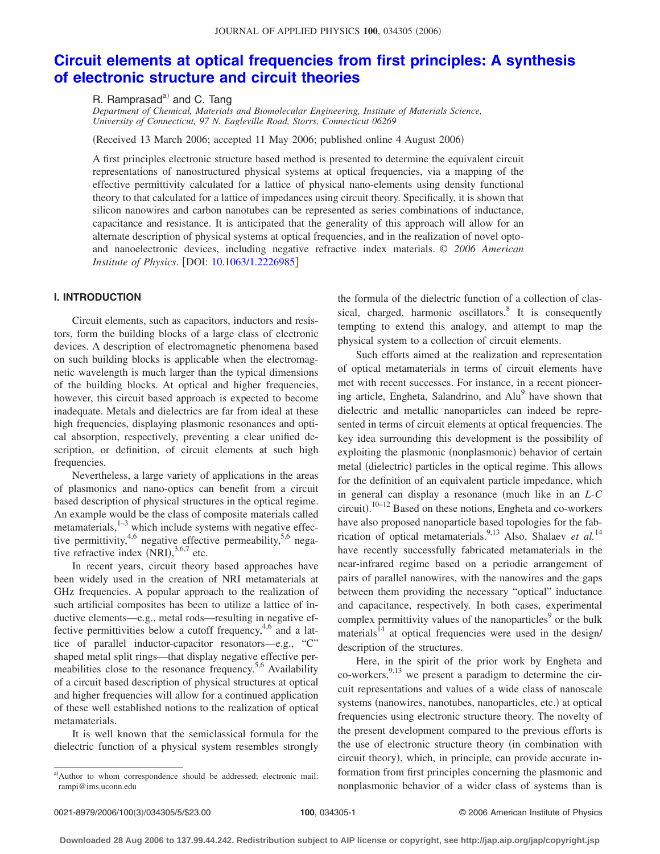# **[Circuit elements at optical frequencies from first principles: A synthesis](http://dx.doi.org/10.1063/1.2226985) [of electronic structure and circuit theories](http://dx.doi.org/10.1063/1.2226985)**

R. Ramprasad $a^0$  and C. Tang

*Department of Chemical, Materials and Biomolecular Engineering, Institute of Materials Science, University of Connecticut, 97 N. Eagleville Road, Storrs, Connecticut 06269*

(Received 13 March 2006; accepted 11 May 2006; published online 4 August 2006)

A first principles electronic structure based method is presented to determine the equivalent circuit representations of nanostructured physical systems at optical frequencies, via a mapping of the effective permittivity calculated for a lattice of physical nano-elements using density functional theory to that calculated for a lattice of impedances using circuit theory. Specifically, it is shown that silicon nanowires and carbon nanotubes can be represented as series combinations of inductance, capacitance and resistance. It is anticipated that the generality of this approach will allow for an alternate description of physical systems at optical frequencies, and in the realization of novel optoand nanoelectronic devices, including negative refractive index materials. © *2006 American Institute of Physics.* [DOI: [10.1063/1.2226985](http://dx.doi.org/10.1063/1.2226985)]

# **I. INTRODUCTION**

Circuit elements, such as capacitors, inductors and resistors, form the building blocks of a large class of electronic devices. A description of electromagnetic phenomena based on such building blocks is applicable when the electromagnetic wavelength is much larger than the typical dimensions of the building blocks. At optical and higher frequencies, however, this circuit based approach is expected to become inadequate. Metals and dielectrics are far from ideal at these high frequencies, displaying plasmonic resonances and optical absorption, respectively, preventing a clear unified description, or definition, of circuit elements at such high frequencies.

Nevertheless, a large variety of applications in the areas of plasmonics and nano-optics can benefit from a circuit based description of physical structures in the optical regime. An example would be the class of composite materials called metamaterials, $1-3$  which include systems with negative effective permittivity,  $4,6$  negative effective permeability,  $5,6$  negative refractive index  $(NRI)$ ,<sup>3,6,7</sup> etc.

In recent years, circuit theory based approaches have been widely used in the creation of NRI metamaterials at GHz frequencies. A popular approach to the realization of such artificial composites has been to utilize a lattice of inductive elements—e.g., metal rods—resulting in negative effective permittivities below a cutoff frequency,  $4.6$  and a lattice of parallel inductor-capacitor resonators—e.g., "C" shaped metal split rings—that display negative effective permeabilities close to the resonance frequency.<sup>5,6</sup> Availability of a circuit based description of physical structures at optical and higher frequencies will allow for a continued application of these well established notions to the realization of optical metamaterials.

It is well known that the semiclassical formula for the dielectric function of a physical system resembles strongly the formula of the dielectric function of a collection of classical, charged, harmonic oscillators. $\delta$  It is consequently tempting to extend this analogy, and attempt to map the physical system to a collection of circuit elements.

Such efforts aimed at the realization and representation of optical metamaterials in terms of circuit elements have met with recent successes. For instance, in a recent pioneering article, Engheta, Salandrino, and Alu<sup>9</sup> have shown that dielectric and metallic nanoparticles can indeed be represented in terms of circuit elements at optical frequencies. The key idea surrounding this development is the possibility of exploiting the plasmonic (nonplasmonic) behavior of certain metal (dielectric) particles in the optical regime. This allows for the definition of an equivalent particle impedance, which in general can display a resonance (much like in an *L-C* circuit).<sup>10–12</sup> Based on these notions, Engheta and co-workers have also proposed nanoparticle based topologies for the fabrication of optical metamaterials.<sup>9,13</sup> Also, Shalaev *et al.*<sup>14</sup> have recently successfully fabricated metamaterials in the near-infrared regime based on a periodic arrangement of pairs of parallel nanowires, with the nanowires and the gaps between them providing the necessary "optical" inductance and capacitance, respectively. In both cases, experimental complex permittivity values of the nanoparticles $9$  or the bulk materials<sup>14</sup> at optical frequencies were used in the design/ description of the structures.

Here, in the spirit of the prior work by Engheta and co-workers,  $9,13$  we present a paradigm to determine the circuit representations and values of a wide class of nanoscale systems (nanowires, nanotubes, nanoparticles, etc.) at optical frequencies using electronic structure theory. The novelty of the present development compared to the previous efforts is the use of electronic structure theory (in combination with circuit theory), which, in principle, can provide accurate information from first principles concerning the plasmonic and nonplasmonic behavior of a wider class of systems than is

a)Author to whom correspondence should be addressed; electronic mail: rampi@ims.uconn.edu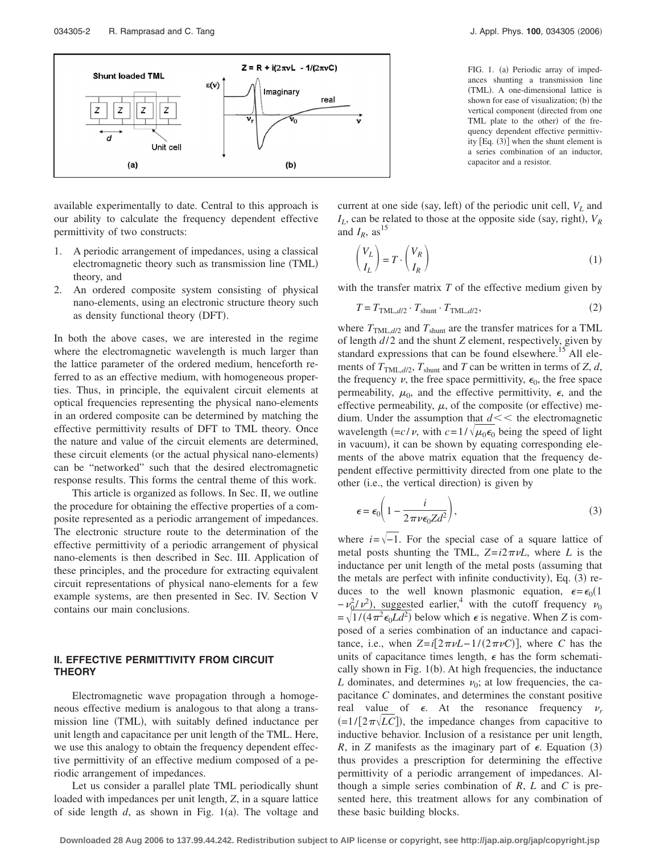

available experimentally to date. Central to this approach is our ability to calculate the frequency dependent effective permittivity of two constructs:

- 1. A periodic arrangement of impedances, using a classical electromagnetic theory such as transmission line (TML) theory, and
- 2. An ordered composite system consisting of physical nano-elements, using an electronic structure theory such as density functional theory (DFT).

In both the above cases, we are interested in the regime where the electromagnetic wavelength is much larger than the lattice parameter of the ordered medium, henceforth referred to as an effective medium, with homogeneous properties. Thus, in principle, the equivalent circuit elements at optical frequencies representing the physical nano-elements in an ordered composite can be determined by matching the effective permittivity results of DFT to TML theory. Once the nature and value of the circuit elements are determined, these circuit elements (or the actual physical nano-elements) can be "networked" such that the desired electromagnetic response results. This forms the central theme of this work.

This article is organized as follows. In Sec. II, we outline the procedure for obtaining the effective properties of a composite represented as a periodic arrangement of impedances. The electronic structure route to the determination of the effective permittivity of a periodic arrangement of physical nano-elements is then described in Sec. III. Application of these principles, and the procedure for extracting equivalent circuit representations of physical nano-elements for a few example systems, are then presented in Sec. IV. Section V contains our main conclusions.

### **II. EFFECTIVE PERMITTIVITY FROM CIRCUIT THEORY**

Electromagnetic wave propagation through a homogeneous effective medium is analogous to that along a transmission line (TML), with suitably defined inductance per unit length and capacitance per unit length of the TML. Here, we use this analogy to obtain the frequency dependent effective permittivity of an effective medium composed of a periodic arrangement of impedances.

Let us consider a parallel plate TML periodically shunt loaded with impedances per unit length, *Z*, in a square lattice of side length  $d$ , as shown in Fig. 1(a). The voltage and

FIG. 1. (a) Periodic array of impedances shunting a transmission line (TML). A one-dimensional lattice is shown for ease of visualization; (b) the vertical component (directed from one TML plate to the other) of the frequency dependent effective permittivity  $[Eq. (3)]$  when the shunt element is a series combination of an inductor, capacitor and a resistor.

current at one side (say, left) of the periodic unit cell,  $V_L$  and  $I_L$ , can be related to those at the opposite side (say, right),  $V_R$ and  $I_R$ , as<sup>15</sup>

$$
\begin{pmatrix} V_L \\ I_L \end{pmatrix} = T \cdot \begin{pmatrix} V_R \\ I_R \end{pmatrix}
$$
 (1)

with the transfer matrix *T* of the effective medium given by

$$
T = T_{\text{TML}, d/2} \cdot T_{\text{shunt}} \cdot T_{\text{TML}, d/2},\tag{2}
$$

where  $T_{\text{TML},d/2}$  and  $T_{\text{shunt}}$  are the transfer matrices for a TML of length *d*/ 2 and the shunt *Z* element, respectively, given by standard expressions that can be found elsewhere.<sup>15</sup> All elements of  $T_{\text{TML},d/2}$ ,  $T_{\text{shunt}}$  and  $T$  can be written in terms of  $Z, d$ , the frequency  $\nu$ , the free space permittivity,  $\epsilon_0$ , the free space permeability,  $\mu_0$ , and the effective permittivity,  $\epsilon$ , and the effective permeability,  $\mu$ , of the composite (or effective) medium. Under the assumption that  $d \lt \lt$  the electromagnetic wavelength  $\left(-c/\nu, \text{ with } c = 1/\sqrt{\mu_0 \epsilon_0} \text{ being the speed of light} \right)$ in vacuum), it can be shown by equating corresponding elements of the above matrix equation that the frequency dependent effective permittivity directed from one plate to the other (i.e., the vertical direction) is given by

$$
\epsilon = \epsilon_0 \bigg( 1 - \frac{i}{2\pi \nu \epsilon_0 Z d^2} \bigg),\tag{3}
$$

where  $i=\sqrt{-1}$ . For the special case of a square lattice of metal posts shunting the TML,  $Z = i2\pi\nu L$ , where *L* is the inductance per unit length of the metal posts (assuming that the metals are perfect with infinite conductivity), Eq. (3) reduces to the well known plasmonic equation,  $\epsilon = \epsilon_0 (1$  $-v_0^2/v^2$ , suggested earlier,<sup>4</sup> with the cutoff frequency  $v_0$  $=\sqrt{1/(4\pi^2\epsilon_0 L d^2)}$  below which  $\epsilon$  is negative. When *Z* is composed of a series combination of an inductance and capacitance, i.e., when  $Z = i[2\pi\nu L - 1/(2\pi\nu C)]$ , where *C* has the units of capacitance times length,  $\epsilon$  has the form schematically shown in Fig. 1(b). At high frequencies, the inductance *L* dominates, and determines  $\nu_0$ ; at low frequencies, the capacitance *C* dominates, and determines the constant positive real value of  $\epsilon$ . At the resonance frequency  $\nu_r$  $=$   $(=1/[2\pi\sqrt{LC}]$ ), the impedance changes from capacitive to inductive behavior. Inclusion of a resistance per unit length, *R*, in *Z* manifests as the imaginary part of  $\epsilon$ . Equation (3) thus provides a prescription for determining the effective permittivity of a periodic arrangement of impedances. Although a simple series combination of *R*, *L* and *C* is presented here, this treatment allows for any combination of these basic building blocks.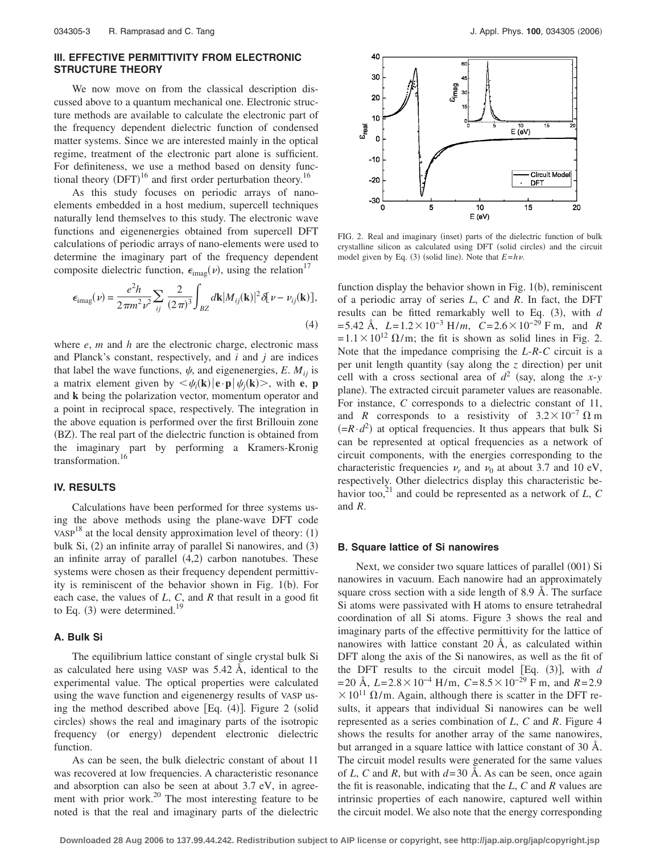## **III. EFFECTIVE PERMITTIVITY FROM ELECTRONIC STRUCTURE THEORY**

We now move on from the classical description discussed above to a quantum mechanical one. Electronic structure methods are available to calculate the electronic part of the frequency dependent dielectric function of condensed matter systems. Since we are interested mainly in the optical regime, treatment of the electronic part alone is sufficient. For definiteness, we use a method based on density functional theory  $(DFT)^{16}$  and first order perturbation theory.<sup>16</sup>

As this study focuses on periodic arrays of nanoelements embedded in a host medium, supercell techniques naturally lend themselves to this study. The electronic wave functions and eigenenergies obtained from supercell DFT calculations of periodic arrays of nano-elements were used to determine the imaginary part of the frequency dependent composite dielectric function,  $\epsilon_{\text{imag}}(\nu)$ , using the relation<sup>17</sup>

$$
\epsilon_{\text{imag}}(\nu) = \frac{e^2 h}{2\pi m^2 \nu^2} \sum_{ij} \frac{2}{(2\pi)^3} \int_{BZ} d\mathbf{k} |M_{ij}(\mathbf{k})|^2 \delta[\nu - \nu_{ij}(\mathbf{k})],
$$
\n(4)

where *e*, *m* and *h* are the electronic charge, electronic mass and Planck's constant, respectively, and *i* and *j* are indices that label the wave functions,  $\psi$ , and eigenenergies, *E*.  $M_{ij}$  is a matrix element given by  $\langle \psi_i(\mathbf{k}) | \mathbf{e} \cdot \mathbf{p} | \psi_j(\mathbf{k}) \rangle$ , with **e**, **p** and **k** being the polarization vector, momentum operator and a point in reciprocal space, respectively. The integration in the above equation is performed over the first Brillouin zone (BZ). The real part of the dielectric function is obtained from the imaginary part by performing a Kramers-Kronig transformation.16

# **IV. RESULTS**

Calculations have been performed for three systems using the above methods using the plane-wave DFT code VASP<sup>18</sup> at the local density approximation level of theory:  $(1)$ bulk Si, (2) an infinite array of parallel Si nanowires, and (3) an infinite array of parallel  $(4,2)$  carbon nanotubes. These systems were chosen as their frequency dependent permittivity is reminiscent of the behavior shown in Fig. 1(b). For each case, the values of *L*, *C*, and *R* that result in a good fit to Eq.  $(3)$  were determined.<sup>19</sup>

#### **A. Bulk Si**

The equilibrium lattice constant of single crystal bulk Si as calculated here using VASP was 5.42 Å, identical to the experimental value. The optical properties were calculated using the wave function and eigenenergy results of VASP using the method described above  $[Eq. (4)]$ . Figure 2 (solid circles) shows the real and imaginary parts of the isotropic frequency (or energy) dependent electronic dielectric function.

As can be seen, the bulk dielectric constant of about 11 was recovered at low frequencies. A characteristic resonance and absorption can also be seen at about 3.7 eV, in agreement with prior work. $^{20}$  The most interesting feature to be noted is that the real and imaginary parts of the dielectric



FIG. 2. Real and imaginary (inset) parts of the dielectric function of bulk crystalline silicon as calculated using DFT (solid circles) and the circuit model given by Eq. (3) (solid line). Note that  $E=h\nu$ .

function display the behavior shown in Fig.  $1(b)$ , reminiscent of a periodic array of series *L*, *C* and *R*. In fact, the DFT results can be fitted remarkably well to Eq. (3), with *d*  $= 5.42 \text{ Å}, L = 1.2 \times 10^{-3} \text{ H/m}, C = 2.6 \times 10^{-29} \text{ F m}, \text{ and } R$  $= 1.1 \times 10^{12} \Omega/m$ ; the fit is shown as solid lines in Fig. 2. Note that the impedance comprising the *L*-*R*-*C* circuit is a per unit length quantity (say along the *z* direction) per unit cell with a cross sectional area of  $d^2$  (say, along the *x*-*y* plane). The extracted circuit parameter values are reasonable. For instance, *C* corresponds to a dielectric constant of 11, and *R* corresponds to a resistivity of  $3.2 \times 10^{-7} \Omega$  m  $(=R \cdot d^2)$  at optical frequencies. It thus appears that bulk Si can be represented at optical frequencies as a network of circuit components, with the energies corresponding to the characteristic frequencies  $\nu_r$  and  $\nu_0$  at about 3.7 and 10 eV, respectively. Other dielectrics display this characteristic behavior too,<sup>21</sup> and could be represented as a network of  $L$ ,  $C$ and *R*.

#### **B. Square lattice of Si nanowires**

Next, we consider two square lattices of parallel (001) Si nanowires in vacuum. Each nanowire had an approximately square cross section with a side length of 8.9 Å. The surface Si atoms were passivated with H atoms to ensure tetrahedral coordination of all Si atoms. Figure 3 shows the real and imaginary parts of the effective permittivity for the lattice of nanowires with lattice constant 20 Å, as calculated within DFT along the axis of the Si nanowires, as well as the fit of the DFT results to the circuit model  $[Eq. (3)]$ , with  $d$ = 20 Å,  $L = 2.8 \times 10^{-4}$  H/m,  $C = 8.5 \times 10^{-29}$  F m, and  $R = 2.9$  $\times 10^{11}$   $\Omega/m$ . Again, although there is scatter in the DFT results, it appears that individual Si nanowires can be well represented as a series combination of *L*, *C* and *R*. Figure 4 shows the results for another array of the same nanowires, but arranged in a square lattice with lattice constant of 30 Å. The circuit model results were generated for the same values of *L*, *C* and *R*, but with  $d=30$  Å. As can be seen, once again the fit is reasonable, indicating that the *L*, *C* and *R* values are intrinsic properties of each nanowire, captured well within the circuit model. We also note that the energy corresponding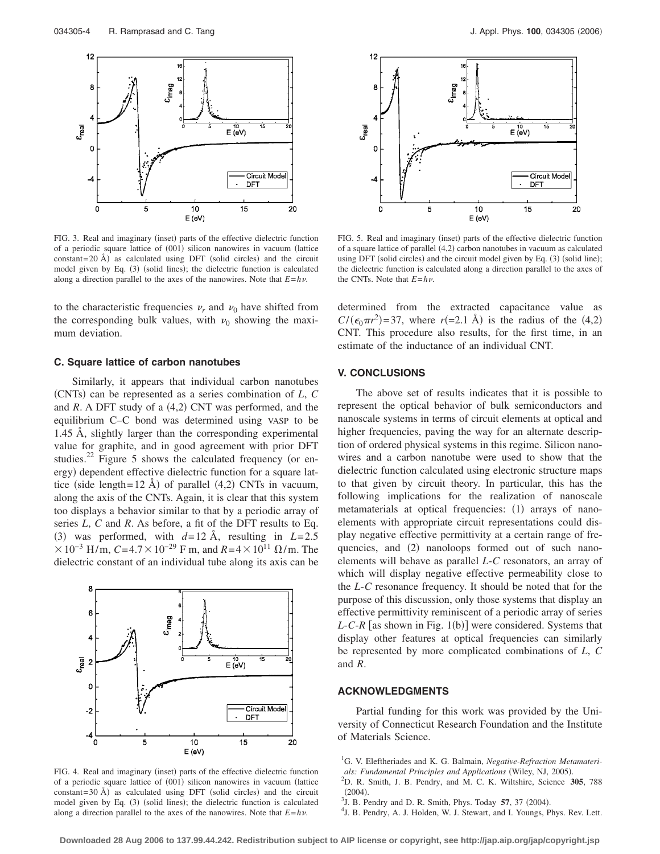

FIG. 3. Real and imaginary (inset) parts of the effective dielectric function of a periodic square lattice of (001) silicon nanowires in vacuum (lattice constant=20 Å) as calculated using DFT (solid circles) and the circuit model given by Eq. (3) (solid lines); the dielectric function is calculated along a direction parallel to the axes of the nanowires. Note that *E*=*h*.

to the characteristic frequencies  $\nu_r$  and  $\nu_0$  have shifted from the corresponding bulk values, with  $\nu_0$  showing the maximum deviation.

#### **C. Square lattice of carbon nanotubes**

Similarly, it appears that individual carbon nanotubes (CNTs) can be represented as a series combination of *L*, *C* and *R*. A DFT study of a (4,2) CNT was performed, and the equilibrium C–C bond was determined using VASP to be 1.45 Å, slightly larger than the corresponding experimental value for graphite, and in good agreement with prior DFT studies.<sup>22</sup> Figure 5 shows the calculated frequency (or energy) dependent effective dielectric function for a square lattice (side length=  $12 \text{ Å}$ ) of parallel (4,2) CNTs in vacuum, along the axis of the CNTs. Again, it is clear that this system too displays a behavior similar to that by a periodic array of series *L*, *C* and *R*. As before, a fit of the DFT results to Eq. (3) was performed, with  $d=12$  Å, resulting in  $L=2.5$  $× 10^{-3}$  H/m, *C*=4.7  $× 10^{-29}$  F m, and *R*=4  $× 10^{11}$  Ω/m. The dielectric constant of an individual tube along its axis can be



FIG. 4. Real and imaginary (inset) parts of the effective dielectric function of a periodic square lattice of (001) silicon nanowires in vacuum (lattice constant=30 Å) as calculated using DFT (solid circles) and the circuit model given by Eq. (3) (solid lines); the dielectric function is calculated along a direction parallel to the axes of the nanowires. Note that  $E = h\nu$ .



FIG. 5. Real and imaginary (inset) parts of the effective dielectric function of a square lattice of parallel (4,2) carbon nanotubes in vacuum as calculated using DFT (solid circles) and the circuit model given by Eq. (3) (solid line); the dielectric function is calculated along a direction parallel to the axes of the CNTs. Note that *E*=*h*.

determined from the extracted capacitance value as  $C/(\epsilon_0 \pi r^2)$ =37, where  $r(=2.1 \text{ Å})$  is the radius of the (4,2) CNT. This procedure also results, for the first time, in an estimate of the inductance of an individual CNT.

## **V. CONCLUSIONS**

The above set of results indicates that it is possible to represent the optical behavior of bulk semiconductors and nanoscale systems in terms of circuit elements at optical and higher frequencies, paving the way for an alternate description of ordered physical systems in this regime. Silicon nanowires and a carbon nanotube were used to show that the dielectric function calculated using electronic structure maps to that given by circuit theory. In particular, this has the following implications for the realization of nanoscale metamaterials at optical frequencies: (1) arrays of nanoelements with appropriate circuit representations could display negative effective permittivity at a certain range of frequencies, and (2) nanoloops formed out of such nanoelements will behave as parallel *L*-*C* resonators, an array of which will display negative effective permeability close to the *L*-*C* resonance frequency. It should be noted that for the purpose of this discussion, only those systems that display an effective permittivity reminiscent of a periodic array of series  $L$ - $C$ - $R$  [as shown in Fig. 1(b)] were considered. Systems that display other features at optical frequencies can similarly be represented by more complicated combinations of *L*, *C* and *R*.

#### **ACKNOWLEDGMENTS**

Partial funding for this work was provided by the University of Connecticut Research Foundation and the Institute of Materials Science.

<sup>1</sup>G. V. Eleftheriades and K. G. Balmain, *Negative-Refraction Metamaterials: Fundamental Principles and Applications* (Wiley, NJ, 2005).<br><sup>2</sup>D, B. Smith, J. B. Bandry, and M. C. K. Wiltohire, Science, 3

- D. R. Smith, J. B. Pendry, and M. C. K. Wiltshire, Science **305**, 788
- $^{(2004)}_{\text{3}1}$ <sup>3</sup>J. B. Pendry and D. R. Smith, Phys. Today 57, 37 (2004).
- <sup>4</sup>J. B. Pendry, A. J. Holden, W. J. Stewart, and I. Youngs, Phys. Rev. Lett.